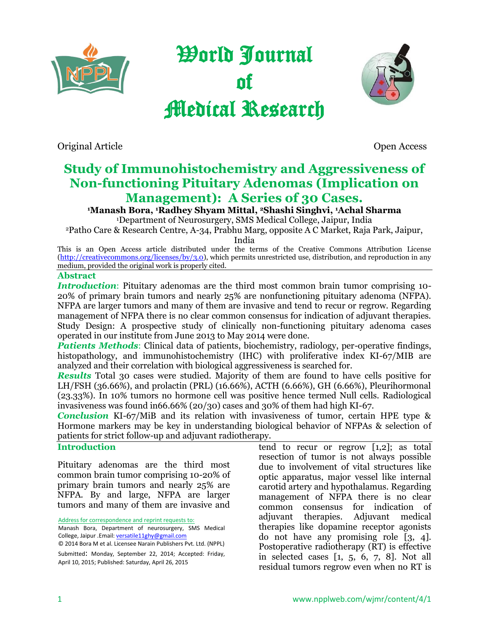

World Journal of Medical Research



Original Article Open Access

# **Study of Immunohistochemistry and Aggressiveness of Non-functioning Pituitary Adenomas (Implication on Management): A Series of 30 Cases.**

**<sup>1</sup>Manash Bora, 1Radhey Shyam Mittal, 2Shashi Singhvi, 1Achal Sharma** <sup>1</sup>Department of Neurosurgery, SMS Medical College, Jaipur, India

<sup>2</sup>Patho Care & Research Centre, A-34, Prabhu Marg, opposite A C Market, Raja Park, Jaipur,

India

This is an Open Access article distributed under the terms of the Creative Commons Attribution License [\(http://creativecommons.org/licenses/by/3.0\)](http://creativecommons.org/licenses/by/2.0), which permits unrestricted use, distribution, and reproduction in any medium, provided the original work is properly cited.

#### **Abstract**

*Introduction*: Pituitary adenomas are the third most common brain tumor comprising 10-20% of primary brain tumors and nearly 25% are nonfunctioning pituitary adenoma (NFPA). NFPA are larger tumors and many of them are invasive and tend to recur or regrow. Regarding management of NFPA there is no clear common consensus for indication of adjuvant therapies. Study Design: A prospective study of clinically non-functioning pituitary adenoma cases operated in our institute from June 2013 to May 2014 were done.

*Patients Methods*: Clinical data of patients, biochemistry, radiology, per-operative findings, histopathology, and immunohistochemistry (IHC) with proliferative index KI-67/MIB are analyzed and their correlation with biological aggressiveness is searched for.

*Results* Total 30 cases were studied. Majority of them are found to have cells positive for LH/FSH (36.66%), and prolactin (PRL) (16.66%), ACTH (6.66%), GH (6.66%), Pleurihormonal (23.33%). In 10% tumors no hormone cell was positive hence termed Null cells. Radiological invasiveness was found in66.66% (20/30) cases and 30% of them had high KI-67.

*Conclusion* KI-67/MiB and its relation with invasiveness of tumor, certain HPE type & Hormone markers may be key in understanding biological behavior of NFPAs & selection of patients for strict follow-up and adjuvant radiotherapy.

### **Introduction**

Pituitary adenomas are the third most common brain tumor comprising 10-20% of primary brain tumors and nearly 25% are NFPA. By and large, NFPA are larger tumors and many of them are invasive and

Address for correspondence and reprint requests to:

tend to recur or regrow [1,2]; as total resection of tumor is not always possible due to involvement of vital structures like optic apparatus, major vessel like internal carotid artery and hypothalamus. Regarding management of NFPA there is no clear common consensus for indication of adjuvant therapies. Adjuvant medical therapies like dopamine receptor agonists do not have any promising role [3, 4]. Postoperative radiotherapy (RT) is effective in selected cases [1, 5, 6, 7, 8]. Not all residual tumors regrow even when no RT is

Manash Bora, Department of neurosurgery, SMS Medical College, Jaipur .Email[: versatile11ghy@gmail.com](mailto:versatile11ghy@gmail.com)

<sup>© 2014</sup> Bora M et al. Licensee Narain Publishers Pvt. Ltd. (NPPL) Submitted: Monday, September 22, 2014; Accepted: Friday, April 10, 2015; Published: Saturday, April 26, 2015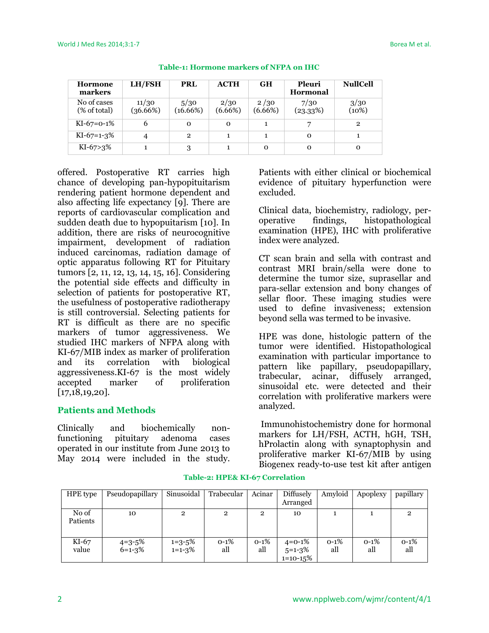| Hormone<br>markers          | <b>LH/FSH</b>     | <b>PRL</b>          | <b>ACTH</b>     | <b>GH</b>       | Pleuri<br>Hormonal | <b>NullCell</b> |
|-----------------------------|-------------------|---------------------|-----------------|-----------------|--------------------|-----------------|
| No of cases<br>(% of total) | 11/30<br>(36.66%) | 5/30<br>$(16.66\%)$ | 2/30<br>(6.66%) | 2/30<br>(6.66%) | 7/30<br>(23.33%)   | 3/30<br>(10%)   |
| $KI-67=0-1%$                | 6                 | $\Omega$            | $\mathbf 0$     |                 | 7                  | $\overline{2}$  |
| $KI$ -67=1-3%               | 4                 | $\overline{2}$      |                 |                 | $\Omega$           |                 |
| $KI-67>3%$                  |                   | 3                   |                 | $\Omega$        | $\Omega$           | $\Omega$        |

**Table-1: Hormone markers of NFPA on IHC**

offered. Postoperative RT carries high chance of developing pan-hypopituitarism rendering patient hormone dependent and also affecting life expectancy [9]. There are reports of cardiovascular complication and sudden death due to hypopuitarism [10]. In addition, there are risks of neurocognitive impairment, development of radiation induced carcinomas, radiation damage of optic apparatus following RT for Pituitary tumors [2, 11, 12, 13, 14, 15, 16]. Considering the potential side effects and difficulty in selection of patients for postoperative RT, the usefulness of postoperative radiotherapy is still controversial. Selecting patients for RT is difficult as there are no specific markers of tumor aggressiveness. We studied IHC markers of NFPA along with KI-67/MIB index as marker of proliferation and its correlation with biological aggressiveness.KI-67 is the most widely accepted marker of proliferation [17,18,19,20].

# **Patients and Methods**

Clinically and biochemically nonfunctioning pituitary adenoma cases operated in our institute from June 2013 to May 2014 were included in the study. Patients with either clinical or biochemical evidence of pituitary hyperfunction were excluded.

Clinical data, biochemistry, radiology, peroperative findings, histopathological examination (HPE), IHC with proliferative index were analyzed.

CT scan brain and sella with contrast and contrast MRI brain/sella were done to determine the tumor size, suprasellar and para-sellar extension and bony changes of sellar floor. These imaging studies were used to define invasiveness; extension beyond sella was termed to be invasive.

HPE was done, histologic pattern of the tumor were identified. Histopathological examination with particular importance to pattern like papillary, pseudopapillary, trabecular, acinar, diffusely arranged, sinusoidal etc. were detected and their correlation with proliferative markers were analyzed.

Immunohistochemistry done for hormonal markers for LH/FSH, ACTH, hGH, TSH, hProlactin along with synaptophysin and proliferative marker KI-67/MIB by using Biogenex ready-to-use test kit after antigen

| HPE type          | Pseudopapillary           | Sinusoidal            | Trabecular       | Acinar           | Diffusely<br>Arranged                    | Amyloid          | Apoplexy      | papillary        |
|-------------------|---------------------------|-----------------------|------------------|------------------|------------------------------------------|------------------|---------------|------------------|
| No of<br>Patients | 10                        | $\overline{2}$        | 2                | 2                | 10                                       |                  |               | $\mathbf{2}$     |
| $KI-67$<br>value  | $4 = 3 - 5\%$<br>$6=1-3%$ | $1=3-5\%$<br>$1=1-3%$ | $0 - 1\%$<br>all | $0 - 1\%$<br>all | $4 = 0 - 1\%$<br>$5=1-3%$<br>$1=10-15\%$ | $0 - 1\%$<br>all | $O-1%$<br>all | $0 - 1\%$<br>all |

**Table-2: HPE& KI-67 Correlation**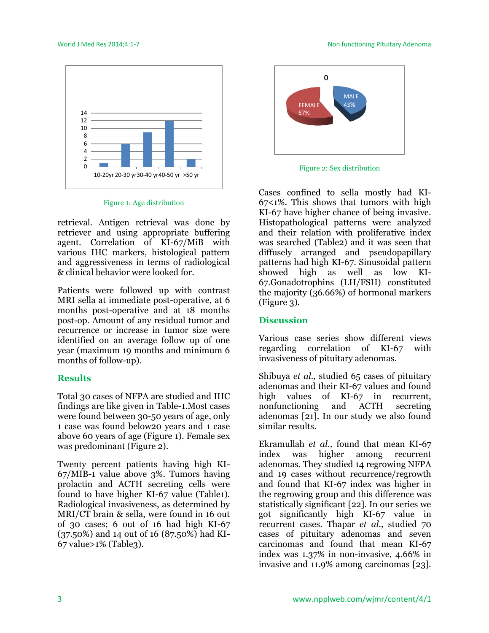

Figure 1: Age distribution

retrieval. Antigen retrieval was done by retriever and using appropriate buffering agent. Correlation of KI-67/MiB with various IHC markers, histological pattern and aggressiveness in terms of radiological & clinical behavior were looked for.

Patients were followed up with contrast MRI sella at immediate post-operative, at 6 months post-operative and at 18 months post-op. Amount of any residual tumor and recurrence or increase in tumor size were identified on an average follow up of one year (maximum 19 months and minimum 6 months of follow-up).

# **Results**

Total 30 cases of NFPA are studied and IHC findings are like given in Table-1.Most cases were found between 30-50 years of age, only 1 case was found below20 years and 1 case above 60 years of age (Figure 1). Female sex was predominant (Figure 2).

Twenty percent patients having high KI-67/MIB-1 value above 3%. Tumors having prolactin and ACTH secreting cells were found to have higher KI-67 value (Table1). Radiological invasiveness, as determined by MRI/CT brain & sella, were found in 16 out of 30 cases; 6 out of 16 had high KI-67 (37.50%) and 14 out of 16 (87.50%) had KI-67 value>1% (Table3).



Figure 2: Sex distribution

Cases confined to sella mostly had KI-67<1%. This shows that tumors with high KI-67 have higher chance of being invasive. Histopathological patterns were analyzed and their relation with proliferative index was searched (Table2) and it was seen that diffusely arranged and pseudopapillary patterns had high KI-67. Sinusoidal pattern showed high as well as low KI-67.Gonadotrophins (LH/FSH) constituted the majority (36.66%) of hormonal markers (Figure 3).

#### **Discussion**

Various case series show different views regarding correlation of KI-67 with invasiveness of pituitary adenomas.

Shibuya *et al.,* studied 65 cases of pituitary adenomas and their KI-67 values and found high values of KI-67 in recurrent, nonfunctioning and ACTH secreting adenomas [21]. In our study we also found similar results.

Ekramullah *et al.,* found that mean KI-67 index was higher among recurrent adenomas. They studied 14 regrowing NFPA and 19 cases without recurrence/regrowth and found that KI-67 index was higher in the regrowing group and this difference was statistically significant [22]. In our series we got significantly high KI-67 value in recurrent cases. Thapar *et al.,* studied 70 cases of pituitary adenomas and seven carcinomas and found that mean KI-67 index was 1.37% in non-invasive, 4.66% in invasive and 11.9% among carcinomas [23].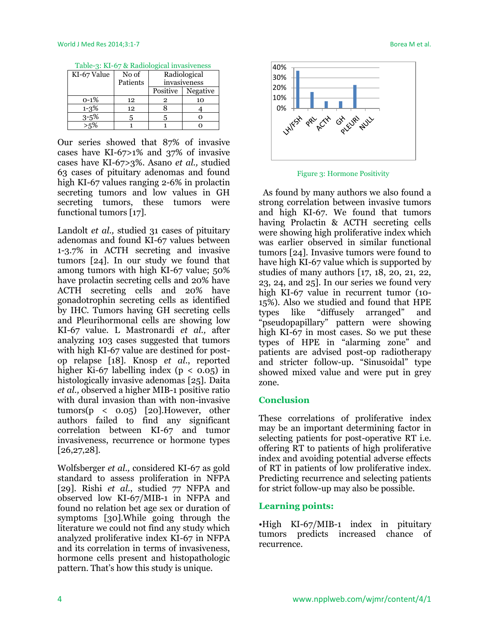| KI-67 Value | No of    | Radiological |          |  |
|-------------|----------|--------------|----------|--|
|             | Patients | invasiveness |          |  |
|             |          | Positive     | Negative |  |
| $0 - 1\%$   | 12       | 2            | 10       |  |
| $1 - 3\%$   | 12       |              |          |  |
| $3 - 5\%$   |          |              |          |  |
|             |          |              |          |  |

Table-3: KI-67 & Radiological invasiveness

Our series showed that 87% of invasive cases have KI-67>1% and 37% of invasive cases have KI-67>3%. Asano *et al.,* studied 63 cases of pituitary adenomas and found high KI-67 values ranging 2-6% in prolactin secreting tumors and low values in GH secreting tumors, these tumors were functional tumors [17].

Landolt *et al.,* studied 31 cases of pituitary adenomas and found KI-67 values between 1-3.7% in ACTH secreting and invasive tumors [24]. In our study we found that among tumors with high KI-67 value; 50% have prolactin secreting cells and 20% have ACTH secreting cells and 20% have gonadotrophin secreting cells as identified by IHC. Tumors having GH secreting cells and Pleurihormonal cells are showing low KI-67 value. [L Mastronardi](http://www.ncbi.nlm.nih.gov/pubmed/?term=Mastronardi%20L%5Bauth%5D) *et al.,* after analyzing 103 cases suggested that tumors with high KI-67 value are destined for postop relapse [18]. Knosp *et al*., reported higher Ki-67 labelling index ( $p < 0.05$ ) in histologically invasive adenomas [25]. Daita *et al.,* observed a higher MIB-1 positive ratio with dural invasion than with non-invasive tumors( $p \sim 0.05$ ) [20]. However, other authors failed to find any significant correlation between KI-67 and tumor invasiveness, recurrence or hormone types [26,27,28].

Wolfsberger *et al.,* considered KI-67 as gold standard to assess proliferation in NFPA [29]. Rishi *et al*., studied 77 NFPA and observed low KI-67/MIB-1 in NFPA and found no relation bet age sex or duration of symptoms [30].While going through the literature we could not find any study which analyzed proliferative index KI-67 in NFPA and its correlation in terms of invasiveness, hormone cells present and histopathologic pattern. That's how this study is unique.



Figure 3: Hormone Positivity

As found by many authors we also found a strong correlation between invasive tumors and high KI-67. We found that tumors having Prolactin & ACTH secreting cells were showing high proliferative index which was earlier observed in similar functional tumors [24]. Invasive tumors were found to have high KI-67 value which is supported by studies of many authors [17, 18, 20, 21, 22, 23, 24, and 25]. In our series we found very high KI-67 value in recurrent tumor (10- 15%). Also we studied and found that HPE types like "diffusely arranged" and "pseudopapillary" pattern were showing high KI-67 in most cases. So we put these types of HPE in "alarming zone" and patients are advised post-op radiotherapy and stricter follow-up. "Sinusoidal" type showed mixed value and were put in grey zone.

# **Conclusion**

These correlations of proliferative index may be an important determining factor in selecting patients for post-operative RT i.e. offering RT to patients of high proliferative index and avoiding potential adverse effects of RT in patients of low proliferative index. Predicting recurrence and selecting patients for strict follow-up may also be possible.

# **Learning points:**

•High KI-67/MIB-1 index in pituitary tumors predicts increased chance of recurrence.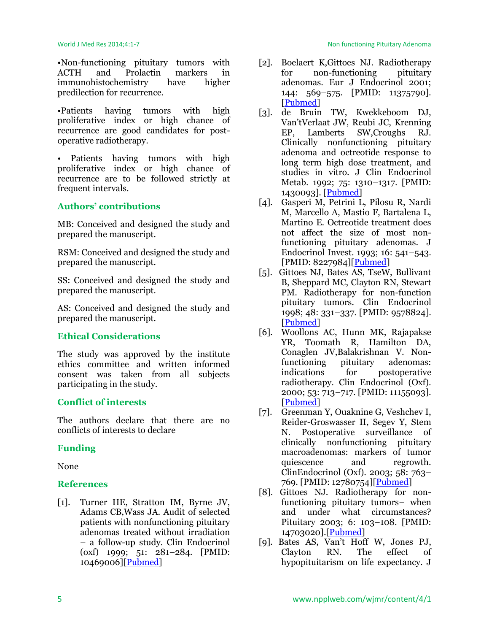•Non-functioning pituitary tumors with ACTH and Prolactin markers in immunohistochemistry have higher predilection for recurrence.

•Patients having tumors with high proliferative index or high chance of recurrence are good candidates for postoperative radiotherapy.

Patients having tumors with high proliferative index or high chance of recurrence are to be followed strictly at frequent intervals.

# **Authors' contributions**

MB: Conceived and designed the study and prepared the manuscript.

RSM: Conceived and designed the study and prepared the manuscript.

SS: Conceived and designed the study and prepared the manuscript.

AS: Conceived and designed the study and prepared the manuscript.

# **Ethical Considerations**

The study was approved by the institute ethics committee and written informed consent was taken from all subjects participating in the study.

# **Conflict of interests**

The authors declare that there are no conflicts of interests to declare

# **Funding**

None

#### **References**

[1]. Turner HE, Stratton IM, Byrne JV, Adams CB,Wass JA. Audit of selected patients with nonfunctioning pituitary adenomas treated without irradiation – a follow-up study. Clin Endocrinol (oxf) 1999; 51: 281–284. [PMID: 10469006][**Pubmed**]

- [2]. Boelaert K,Gittoes NJ. Radiotherapy for non-functioning pituitary adenomas. Eur J Endocrinol 2001; 144: 569–575. [PMID: 11375790]. [\[Pubmed\]](http://www.ncbi.nlm.nih.gov/pubmed/?term=%20%20:%20%2011375790)
- [3]. de Bruin TW, Kwekkeboom DJ, Van'tVerlaat JW, Reubi JC, Krenning EP, Lamberts SW,Croughs RJ. Clinically nonfunctioning pituitary adenoma and octreotide response to long term high dose treatment, and studies in vitro. J Clin Endocrinol Metab. 1992; 75: 1310–1317. [PMID: 1430093]. [\[Pubmed\]](http://www.ncbi.nlm.nih.gov/pubmed/?term=%20%20:%20%201430093)
- [4]. Gasperi M, Petrini L, Pilosu R, Nardi M, Marcello A, Mastio F, Bartalena L, Martino E. Octreotide treatment does not affect the size of most nonfunctioning pituitary adenomas. J Endocrinol Invest. 1993; 16: 541–543. [PMID: 8227984][*Pubmed*]
- [5]. Gittoes NJ, Bates AS, TseW, Bullivant B, Sheppard MC, Clayton RN, Stewart PM. Radiotherapy for non-function pituitary tumors. Clin Endocrinol 1998; 48: 331–337. [PMID: 9578824]. [\[Pubmed\]](http://www.ncbi.nlm.nih.gov/pubmed/?term=%20%20:%20%209578824)
- [6]. Woollons AC, Hunn MK, Rajapakse YR, Toomath R, Hamilton DA, Conaglen JV,Balakrishnan V. Nonfunctioning pituitary adenomas: indications for postoperative radiotherapy. Clin Endocrinol (Oxf). 2000; 53: 713–717. [PMID: 11155093]. [\[Pubmed\]](http://www.ncbi.nlm.nih.gov/pubmed/?term=%20%20:%20%2011155093)
- [7]. Greenman Y, Ouaknine G, Veshchev I, Reider-Groswasser II, Segev Y, Stem N. Postoperative surveillance of clinically nonfunctioning pituitary macroadenomas: markers of tumor quiescence and regrowth. ClinEndocrinol (Oxf). 2003; 58: 763– 769. [PMID: 12780754][\[Pubmed\]](http://www.ncbi.nlm.nih.gov/pubmed/?term=%20%20:12780754)
- [8]. Gittoes NJ. Radiotherapy for nonfunctioning pituitary tumors– when and under what circumstances? Pituitary 2003; 6: 103–108. [PMID: 14703020].[\[Pubmed\]](http://www.ncbi.nlm.nih.gov/pubmed/?term=%20%20:%20%2014703020)
- [9]. Bates AS, Van't Hoff W, Jones PJ, Clayton RN. The effect of hypopituitarism on life expectancy. J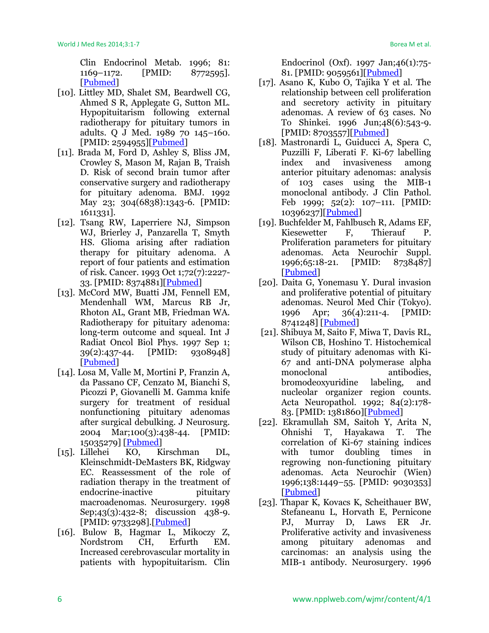Clin Endocrinol Metab. 1996; 81: 1169–1172. [PMID: 8772595]. [\[Pubmed\]](http://www.ncbi.nlm.nih.gov/pubmed/?term=%20%20:%20%208772595)

- [10]. Littley MD, Shalet SM, Beardwell CG, Ahmed S R, Applegate G, Sutton ML. Hypopituitarism following external radiotherapy for pituitary tumors in adults. Q J Med. 1989 70 145–160. [PMID: 2594955][\[Pubmed\]](http://www.ncbi.nlm.nih.gov/pubmed/?term=%20%20:%202594955)
- [11]. Brada M, Ford D, Ashley S, Bliss JM, Crowley S, Mason M, Rajan B, Traish D. Risk of second brain tumor after conservative surgery and radiotherapy for pituitary adenoma. BMJ. 1992 May 23; 304(6838):1343-6. [PMID: 1611331].
- [12]. Tsang RW, Laperriere NJ, Simpson WJ, Brierley J, Panzarella T, Smyth HS. Glioma arising after radiation therapy for pituitary adenoma. A report of four patients and estimation of risk. Cancer. 1993 Oct 1;72(7):2227- 33. [PMID: 8374881][\[Pubmed\]](http://www.ncbi.nlm.nih.gov/pubmed/?term=%20%20:8374881)
- [13]. McCord MW, Buatti JM, Fennell EM, Mendenhall WM, Marcus RB Jr, Rhoton AL, Grant MB, Friedman WA. Radiotherapy for pituitary adenoma: long-term outcome and squeal. Int J Radiat Oncol Biol Phys. 1997 Sep 1; 39(2):437-44. [PMID: 9308948] [\[Pubmed\]](http://www.ncbi.nlm.nih.gov/pubmed/?term=%20%20:9308948)
- [14]. Losa M, Valle M, Mortini P, Franzin A, da Passano CF, Cenzato M, Bianchi S, Picozzi P, Giovanelli M. Gamma knife surgery for treatment of residual nonfunctioning pituitary adenomas after surgical debulking. J Neurosurg. 2004 Mar;100(3):438-44. [PMID: 15035279] [\[Pubmed\]](http://www.ncbi.nlm.nih.gov/pubmed/?term=%20%20:15035279)
- [15]. Lillehei KO, Kirschman DL, Kleinschmidt-DeMasters BK, Ridgway EC. Reassessment of the role of radiation therapy in the treatment of endocrine-inactive pituitary macroadenomas. Neurosurgery. 1998 Sep;43(3):432-8; discussion 438-9. [PMID: 9733298].[\[Pubmed\]](http://www.ncbi.nlm.nih.gov/pubmed/?term=%20%20:9733298)
- [16]. Bulow B, Hagmar L, Mikoczy Z, Nordstrom CH, Erfurth EM. Increased cerebrovascular mortality in patients with hypopituitarism. Clin

Endocrinol (Oxf). 1997 Jan;46(1):75- 81. [PMID: 9059561][\[Pubmed\]](http://www.ncbi.nlm.nih.gov/pubmed/?term=%20%20:9059561)

- [17]. Asano K, Kubo O, Tajika Y et al. The relationship between cell proliferation and secretory activity in pituitary adenomas. A review of 63 cases. No To Shinkei. 1996 Jun;48(6):543-9. [PMID: 8703557][\[Pubmed\]](http://www.ncbi.nlm.nih.gov/pubmed/?term=%20%20:8703557)
- [18]. Mastronardi L, Guiducci A, Spera C, Puzzilli F, Liberati F. Ki-67 labelling index and invasiveness among anterior pituitary adenomas: analysis of 103 cases using the MIB-1 monoclonal antibody. J Clin Pathol. Feb 1999; 52(2): 107–111. [PMID: 10396237][\[Pubmed\]](http://www.ncbi.nlm.nih.gov/pubmed/?term=%20%20:10396237)
- [19]. Buchfelder M, Fahlbusch R, Adams EF, Kiesewetter F, Thierauf P. Proliferation parameters for pituitary adenomas. Acta Neurochir Suppl. 1996;65:18-21. [PMID: 8738487] [\[Pubmed\]](http://www.ncbi.nlm.nih.gov/pubmed/?term=%20%20:8738487)
- [20]. Daita G, Yonemasu Y. Dural invasion and proliferative potential of pituitary adenomas. Neurol Med Chir (Tokyo). 1996 Apr; 36(4):211-4. [PMID: 8741248] [\[Pubmed\]](http://www.ncbi.nlm.nih.gov/pubmed/?term=%20%20:8741248)
- [21]. Shibuya M, Saito F, Miwa T, Davis RL, Wilson CB, Hoshino T. Histochemical study of pituitary adenomas with Ki-67 and anti-DNA polymerase alpha monoclonal antibodies, bromodeoxyuridine labeling, and nucleolar organizer region counts. Acta Neuropathol. 1992; 84(2):178- 83. [PMID: 1381860][\[Pubmed\]](http://www.ncbi.nlm.nih.gov/pubmed/?term=%20%20:1381860)
- [22]. Ekramullah SM, Saitoh Y, Arita N, Ohnishi T, Hayakawa T. The correlation of Ki-67 staining indices with tumor doubling times in regrowing non-functioning pituitary adenomas. Acta Neurochir (Wien) 1996;138:1449–55. [PMID: 9030353] [\[Pubmed\]](http://www.ncbi.nlm.nih.gov/pubmed/?term=%20%20:9030353)
- [23]. Thapar K, Kovacs K, Scheithauer BW, Stefaneanu L, Horvath E, Pernicone PJ, Murray D, Laws ER Jr. Proliferative activity and invasiveness among pituitary adenomas and carcinomas: an analysis using the MIB-1 antibody. Neurosurgery. 1996